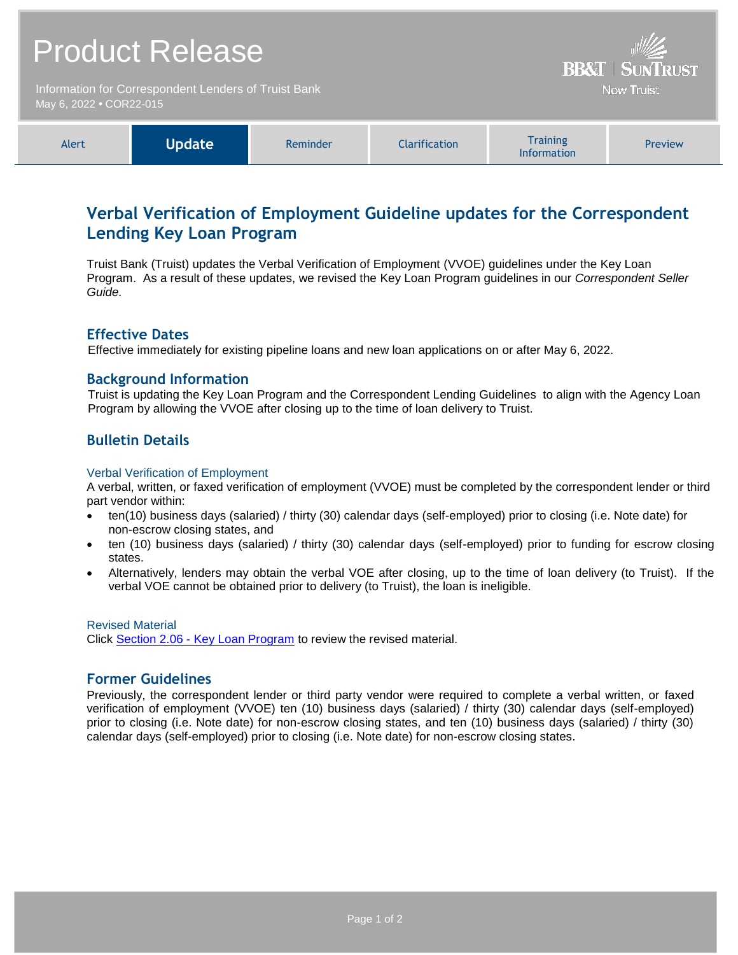| <b>Product Release</b><br>Information for Correspondent Lenders of Truist Bank |               |          |                      | <b>BB&amp;T   SUNTRUST</b><br><b>Now Truist</b>                                                                                                                                                                                                      |         |
|--------------------------------------------------------------------------------|---------------|----------|----------------------|------------------------------------------------------------------------------------------------------------------------------------------------------------------------------------------------------------------------------------------------------|---------|
| May 6, 2022 • COR22-015                                                        |               |          |                      |                                                                                                                                                                                                                                                      |         |
| Alert                                                                          | <b>Update</b> | Reminder | <b>Clarification</b> | <b>Training</b><br>$\mathbf{r}$ . The contract of the contract of the contract of the contract of the contract of the contract of the contract of the contract of the contract of the contract of the contract of the contract of the contract of th | Preview |

# **Verbal Verification of Employment Guideline updates for the Correspondent Lending Key Loan Program**

Information

Truist Bank (Truist) updates the Verbal Verification of Employment (VVOE) guidelines under the Key Loan Program. As a result of these updates, we revised the Key Loan Program guidelines in our *Correspondent Seller Guide.*

## **Effective Dates**

Effective immediately for existing pipeline loans and new loan applications on or after May 6, 2022.

## **Background Information**

Truist is updating the Key Loan Program and the Correspondent Lending Guidelines to align with the Agency Loan Program by allowing the VVOE after closing up to the time of loan delivery to Truist.

## **Bulletin Details**

#### Verbal Verification of Employment

A verbal, written, or faxed verification of employment (VVOE) must be completed by the correspondent lender or third part vendor within:

- ten(10) business days (salaried) / thirty (30) calendar days (self-employed) prior to closing (i.e. Note date) for non-escrow closing states, and
- ten (10) business days (salaried) / thirty (30) calendar days (self-employed) prior to funding for escrow closing states.
- Alternatively, lenders may obtain the verbal VOE after closing, up to the time of loan delivery (to Truist). If the verbal VOE cannot be obtained prior to delivery (to Truist), the loan is ineligible.

#### Revised Material

Click Section 2.06 - [Key Loan Program](https://www.truistsellerguide.com/Manual/cor/products/CKey.pdf) to review the revised material.

## **Former Guidelines**

Previously, the correspondent lender or third party vendor were required to complete a verbal written, or faxed verification of employment (VVOE) ten (10) business days (salaried) / thirty (30) calendar days (self-employed) prior to closing (i.e. Note date) for non-escrow closing states, and ten (10) business days (salaried) / thirty (30) calendar days (self-employed) prior to closing (i.e. Note date) for non-escrow closing states.